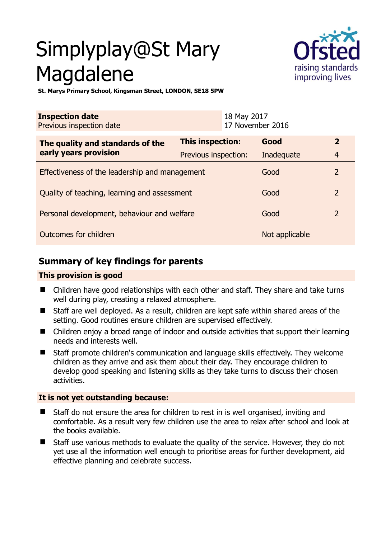# Simplyplay@St Mary Magdalene



**St. Marys Primary School, Kingsman Street, LONDON, SE18 5PW** 

| <b>Inspection date</b><br>Previous inspection date        | 18 May 2017             | 17 November 2016 |                |
|-----------------------------------------------------------|-------------------------|------------------|----------------|
| The quality and standards of the<br>early years provision | <b>This inspection:</b> | Good             | $\overline{2}$ |
|                                                           | Previous inspection:    | Inadequate       | $\overline{4}$ |
| Effectiveness of the leadership and management            |                         | Good             | $\overline{2}$ |
| Quality of teaching, learning and assessment              |                         | Good             | $\overline{2}$ |
| Personal development, behaviour and welfare               |                         | Good             | $\overline{2}$ |
| Outcomes for children                                     |                         | Not applicable   |                |

# **Summary of key findings for parents**

## **This provision is good**

- Children have good relationships with each other and staff. They share and take turns well during play, creating a relaxed atmosphere.
- Staff are well deployed. As a result, children are kept safe within shared areas of the setting. Good routines ensure children are supervised effectively.
- Children enjoy a broad range of indoor and outside activities that support their learning needs and interests well.
- Staff promote children's communication and language skills effectively. They welcome children as they arrive and ask them about their day. They encourage children to develop good speaking and listening skills as they take turns to discuss their chosen activities.

## **It is not yet outstanding because:**

- Staff do not ensure the area for children to rest in is well organised, inviting and comfortable. As a result very few children use the area to relax after school and look at the books available.
- Staff use various methods to evaluate the quality of the service. However, they do not yet use all the information well enough to prioritise areas for further development, aid effective planning and celebrate success.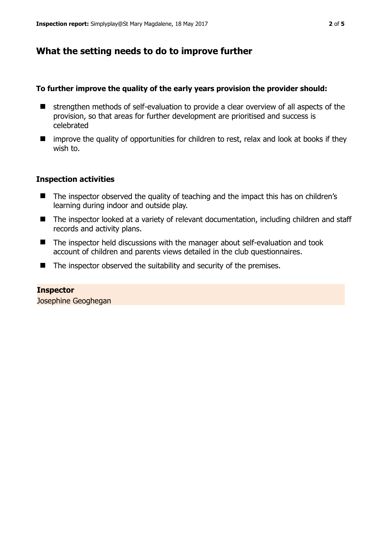## **What the setting needs to do to improve further**

#### **To further improve the quality of the early years provision the provider should:**

- $\blacksquare$  strengthen methods of self-evaluation to provide a clear overview of all aspects of the provision, so that areas for further development are prioritised and success is celebrated
- $\blacksquare$  improve the quality of opportunities for children to rest, relax and look at books if they wish to.

## **Inspection activities**

- The inspector observed the quality of teaching and the impact this has on children's learning during indoor and outside play.
- The inspector looked at a variety of relevant documentation, including children and staff records and activity plans.
- The inspector held discussions with the manager about self-evaluation and took account of children and parents views detailed in the club questionnaires.
- $\blacksquare$  The inspector observed the suitability and security of the premises.

## **Inspector**

Josephine Geoghegan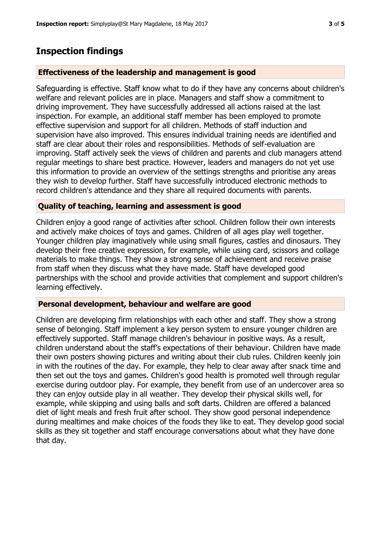# **Inspection findings**

## **Effectiveness of the leadership and management is good**

Safeguarding is effective. Staff know what to do if they have any concerns about children's welfare and relevant policies are in place. Managers and staff show a commitment to driving improvement. They have successfully addressed all actions raised at the last inspection. For example, an additional staff member has been employed to promote effective supervision and support for all children. Methods of staff induction and supervision have also improved. This ensures individual training needs are identified and staff are clear about their roles and responsibilities. Methods of self-evaluation are improving. Staff actively seek the views of children and parents and club managers attend regular meetings to share best practice. However, leaders and managers do not yet use this information to provide an overview of the settings strengths and prioritise any areas they wish to develop further. Staff have successfully introduced electronic methods to record children's attendance and they share all required documents with parents.

## **Quality of teaching, learning and assessment is good**

Children enjoy a good range of activities after school. Children follow their own interests and actively make choices of toys and games. Children of all ages play well together. Younger children play imaginatively while using small figures, castles and dinosaurs. They develop their free creative expression, for example, while using card, scissors and collage materials to make things. They show a strong sense of achievement and receive praise from staff when they discuss what they have made. Staff have developed good partnerships with the school and provide activities that complement and support children's learning effectively.

## **Personal development, behaviour and welfare are good**

Children are developing firm relationships with each other and staff. They show a strong sense of belonging. Staff implement a key person system to ensure younger children are effectively supported. Staff manage children's behaviour in positive ways. As a result, children understand about the staff's expectations of their behaviour. Children have made their own posters showing pictures and writing about their club rules. Children keenly join in with the routines of the day. For example, they help to clear away after snack time and then set out the toys and games. Children's good health is promoted well through regular exercise during outdoor play. For example, they benefit from use of an undercover area so they can enjoy outside play in all weather. They develop their physical skills well, for example, while skipping and using balls and soft darts. Children are offered a balanced diet of light meals and fresh fruit after school. They show good personal independence during mealtimes and make choices of the foods they like to eat. They develop good social skills as they sit together and staff encourage conversations about what they have done that day.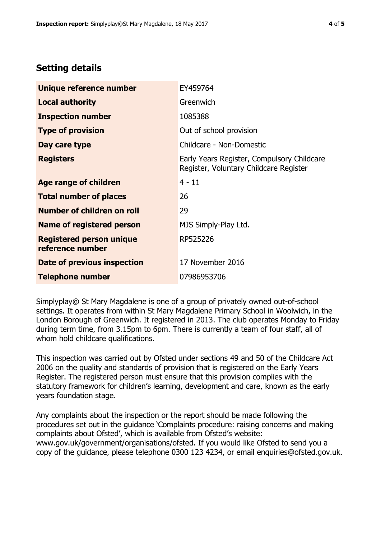# **Setting details**

| Unique reference number                             | EY459764                                                                             |  |
|-----------------------------------------------------|--------------------------------------------------------------------------------------|--|
| <b>Local authority</b>                              | Greenwich                                                                            |  |
| <b>Inspection number</b>                            | 1085388                                                                              |  |
| <b>Type of provision</b>                            | Out of school provision                                                              |  |
| Day care type                                       | Childcare - Non-Domestic                                                             |  |
| <b>Registers</b>                                    | Early Years Register, Compulsory Childcare<br>Register, Voluntary Childcare Register |  |
| Age range of children                               | $4 - 11$                                                                             |  |
| <b>Total number of places</b>                       | 26                                                                                   |  |
| Number of children on roll                          | 29                                                                                   |  |
| Name of registered person                           | MJS Simply-Play Ltd.                                                                 |  |
| <b>Registered person unique</b><br>reference number | RP525226                                                                             |  |
| Date of previous inspection                         | 17 November 2016                                                                     |  |
| <b>Telephone number</b>                             | 07986953706                                                                          |  |

Simplyplay@ St Mary Magdalene is one of a group of privately owned out-of-school settings. It operates from within St Mary Magdalene Primary School in Woolwich, in the London Borough of Greenwich. It registered in 2013. The club operates Monday to Friday during term time, from 3.15pm to 6pm. There is currently a team of four staff, all of whom hold childcare qualifications.

This inspection was carried out by Ofsted under sections 49 and 50 of the Childcare Act 2006 on the quality and standards of provision that is registered on the Early Years Register. The registered person must ensure that this provision complies with the statutory framework for children's learning, development and care, known as the early years foundation stage.

Any complaints about the inspection or the report should be made following the procedures set out in the guidance 'Complaints procedure: raising concerns and making complaints about Ofsted', which is available from Ofsted's website: www.gov.uk/government/organisations/ofsted. If you would like Ofsted to send you a copy of the guidance, please telephone 0300 123 4234, or email enquiries@ofsted.gov.uk.